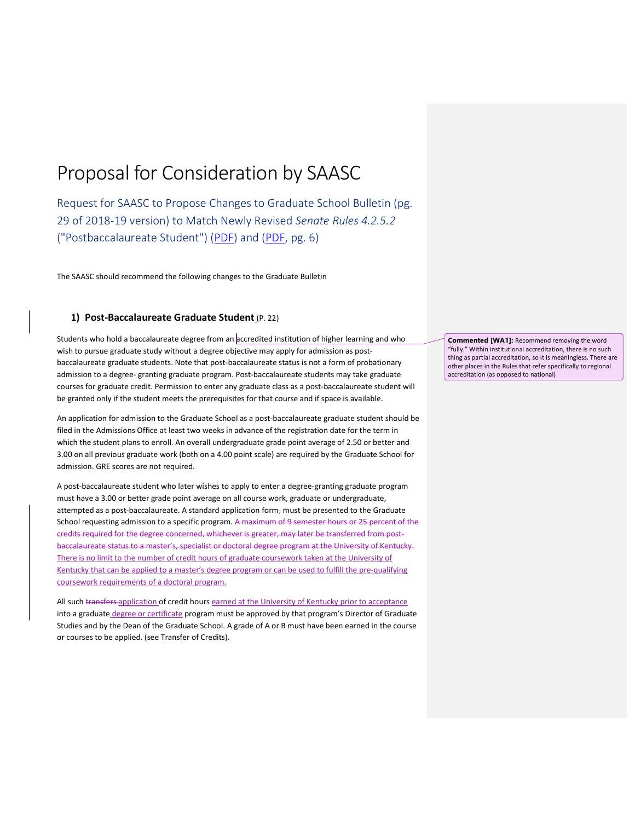## Proposal for Consideration by SAASC

Request for SAASC to Propose Changes to Graduate School Bulletin (pg. 29 of 2018-19 version) to Match Newly Revised Senate Rules 4.2.5.2 ("Postbaccalaureate Student") (PDF) and (PDF, pg. 6)

The SAASC should recommend the following changes to the Graduate Bulletin

## 1) Post-Baccalaureate Graduate Student (P. 22)

Students who hold a baccalaureate degree from an accredited institution of higher learning and who wish to pursue graduate study without a degree objective may apply for admission as postbaccalaureate graduate students. Note that post-baccalaureate status is not a form of probationary admission to a degree- granting graduate program. Post-baccalaureate students may take graduate courses for graduate credit. Permission to enter any graduate class as a post-baccalaureate student will be granted only if the student meets the prerequisites for that course and if space is available.

An application for admission to the Graduate School as a post-baccalaureate graduate student should be filed in the Admissions Office at least two weeks in advance of the registration date for the term in which the student plans to enroll. An overall undergraduate grade point average of 2.50 or better and 3.00 on all previous graduate work (both on a 4.00 point scale) are required by the Graduate School for admission. GRE scores are not required.

A post-baccalaureate student who later wishes to apply to enter a degree-granting graduate program must have a 3.00 or better grade point average on all course work, graduate or undergraduate, attempted as a post-baccalaureate. A standard application form, must be presented to the Graduate School requesting admission to a specific program. A maximum of 9 semester hours or 25 percent of the credits required for the degree concerned, whichever is greater, may later be transferred from postbaccalaureate status to a master's, specialist or doctoral degree program at the University of Kentucky. There is no limit to the number of credit hours of graduate coursework taken at the University of Kentucky that can be applied to a master's degree program or can be used to fulfill the pre-qualifying coursework requirements of a doctoral program.

All such transfers application of credit hours earned at the University of Kentucky prior to acceptance into a graduate degree or certificate program must be approved by that program's Director of Graduate Studies and by the Dean of the Graduate School. A grade of A or B must have been earned in the course or courses to be applied. (see Transfer of Credits).

Commented [WA1]: Recommend removing the word "fully." Within institutional accreditation, there is no such thing as partial accreditation, so it is meaningless. There are other places in the Rules that refer specifically to regional accreditation (as opposed to national)